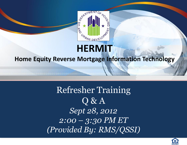

# **HERMIT**

### **Home Equity Reverse Mortgage Information Technology**

1000000000000000000000

### Refresher Training Q & A *Sept 28, 2012 2:00 – 3:30 PM ET (Provided By: RMS/QSSI)*

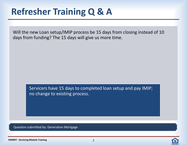Will the new Loan setup/IMIP process be 15 days from closing instead of 10 days from funding? The 15 days will give us more time.

> Servicers have 15 days to completed loan setup and pay IMIP; no change to existing process.

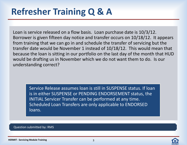Loan is service released on a flow basis. Loan purchase date is 10/3/12. Borrower is given fifteen day notice and transfer occurs on 10/18/12. It appears from training that we can go in and schedule the transfer of servicing but the transfer date would be November 1 instead of 10/18/12. This would mean that because the loan is sitting in our portfolio on the last day of the month that HUD would be drafting us in November which we do not want them to do. Is our understanding correct?

Service Release assumes loan is still in SUSPENSE status. If loan is in either SUSPENSE or PENDING ENDORSEMENT status, the INITIAL Servicer Transfer can be performed at any time. Scheduled Loan Transfers are only applicable to ENDORSED loans.

#### Question submitted by: RMS

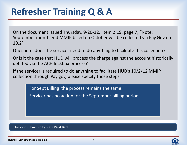On the document issued Thursday, 9-20-12. Item 2.19, page 7, "Note: September month end MMIP billed on October will be collected via Pay.Gov on  $10.2"$ .

Question: does the servicer need to do anything to facilitate this collection?

Or is it the case that HUD will process the charge against the account historically debited via the ACH lockbox process?

If the servicer is required to do anything to facilitate HUD's 10/2/12 MMIP collection through Pay.gov, please specify those steps.

For Sept Billing the process remains the same.

Servicer has no action for the September billing period.

Question submitted by: One West Bank

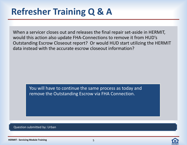When a servicer closes out and releases the final repair set-aside in HERMIT, would this action also update FHA-Connections to remove it from HUD's Outstanding Escrow Closeout report? Or would HUD start utilizing the HERMIT data instead with the accurate escrow closeout information?

You will have to continue the same process as today and remove the Outstanding Escrow via FHA Connection.

Question submitted by: Urban

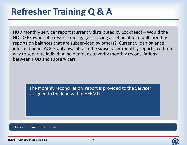HUD monthly servicer report (currently distributed by Lockheed) – Would the HOLDER/owner of a reverse mortgage servicing asset be able to pull monthly reports on balances that are subserviced by others? Currently loan balance information in IACS is only available in the subservicer monthly reports, with no way to separate individual holder loans to verify monthly reconciliations between HUD and subservicers.

> The monthly reconciliation report is provided to the Servicer assigned to the loan within HERMIT.

Question submitted by: Urban

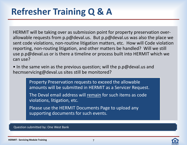HERMIT will be taking over as submission point for property preservation overallowable requests from p.p@deval.us. But p.p@deval.us was also the place we sent code violations, non-routine litigation matters, etc. How will Code violation reporting, non-routing litigation, and other matters be handled? Will we still use p.p@deval.us or is there a timeline or process built into HERMIT which we can use?

• In the same vein as the previous question; will the p.p@deval.us and hecmservicing@deval.us sites still be monitored?

> Property Preservation requests to exceed the allowable amounts will be submitted in HERMIT as a Servicer Request.

The Deval email address will remain for such items as code violations, litigation, etc.

Please use the HERMIT Documents Page to upload any supporting documents for such events.

Question submitted by: One West Bank

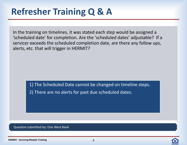In the training on timelines, it was stated each step would be assigned a 'scheduled date' for completion. Are the 'scheduled dates' adjustable? If a servicer exceeds the scheduled completion date, are there any follow ups, alerts, etc. that will trigger in HERMIT?

> 1) The Scheduled Date cannot be changed on timeline steps. 2) There are no alerts for past due scheduled dates.

Question submitted by: One West Bank



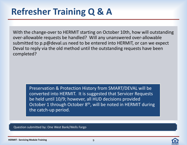With the change-over to HERMIT starting on October 10th, how will outstanding over-allowable requests be handled? Will any unanswered over-allowable submitted to p.p@deval.us need to be entered into HERMIT, or can we expect Deval to reply via the old method until the outstanding requests have been completed?

> Preservation & Protection History from SMART/DEVAL will be converted into HERMIT. It is suggested that Servicer Requests be held until 10/9; however, all HUD decisions provided October 1 through October 8<sup>th</sup>, will be noted in HERMIT during the catch-up period.

Question submitted by: One West Bank/Wells Fargo

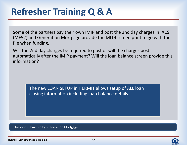Some of the partners pay their own IMIP and post the 2nd day charges in IACS (MF52) and Generation Mortgage provide the MI14 screen print to go with the file when funding.

Will the 2nd day charges be required to post or will the charges post automatically after the IMIP payment? Will the loan balance screen provide this information?

> The new LOAN SETUP in HERMIT allows setup of ALL loan closing information including loan balance details.

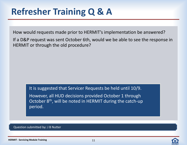How would requests made prior to HERMIT's implementation be answered?

If a D&P request was sent October 6th, would we be able to see the response in HERMIT or through the old procedure?

It is suggested that Servicer Requests be held until 10/9.

However, all HUD decisions provided October 1 through October 8<sup>th</sup>, will be noted in HERMIT during the catch-up period.

Question submitted by: J B Nutter

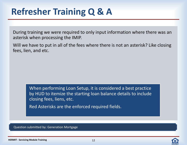During training we were required to only input information where there was an asterisk when processing the IMIP.

Will we have to put in all of the fees where there is not an asterisk? Like closing fees, lien, and etc.

> When performing Loan Setup, it is considered a best practice by HUD to itemize the starting loan balance details to include closing fees, liens, etc.

Red Asterisks are the enforced required fields.

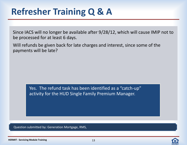Since IACS will no longer be available after 9/28/12, which will cause IMIP not to be processed for at least 6 days.

Will refunds be given back for late charges and interest, since some of the payments will be late?

> Yes. The refund task has been identified as a "catch-up" activity for the HUD Single Family Premium Manager.



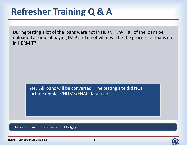During testing a lot of the loans were not in HERMIT. Will all of the loans be uploaded at time of paying IMIP and if not what will be the process for loans not in HERMIT?

Yes. All loans will be converted. The testing site did NOT include regular CHUMS/FHAC data feeds.

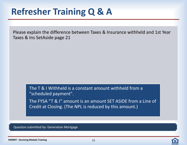Please explain the difference between Taxes & Insurance withheld and 1st Year Taxes & Ins SetAside page 21

> The T & I Withheld is a constant amount withheld from a "scheduled payment".

The FYSA "T & I" amount is an amount SET ASIDE from a Line of Credit at Closing. (The NPL is reduced by this amount.)



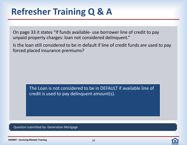On page 33 it states "If funds available- use borrower line of credit to pay unpaid property charges: loan not considered delinquent."

Is the loan still considered to be in default if line of credit funds are used to pay forced placed insurance premiums?

> The Loan is not considered to be in DEFAULT if available line of credit is used to pay delinquent amount(s).

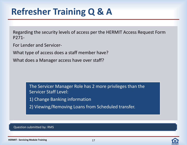Regarding the security levels of access per the HERMIT Access Request Form P271-

For Lender and Servicer-

What type of access does a staff member have?

What does a Manager access have over staff?

The Servicer Manager Role has 2 more privileges than the Servicer Staff Level:

- 1) Change Banking information
- 2) Viewing/Removing Loans from Scheduled transfer.

#### Question submitted by: RMS

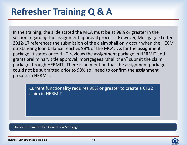In the training, the slide stated the MCA must be at 98% or greater in the section regarding the assignment approval process. However, Mortgagee Letter 2012-17 references the submission of the claim shall only occur when the HECM outstanding loan balance reaches 98% of the MCA. As for the assignment package, it states once HUD reviews the assignment package in HERMIT and grants preliminary title approval, mortgagees "shall then" submit the claim package through HERMIT. There is no mention that the assignment package could not be submitted prior to 98% so I need to confirm the assignment process in HERMIT.

> Current functionality requires 98% or greater to create a CT22 claim in HERMIT.

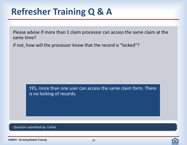Please advise if more than 1 claim processor can access the same claim at the same time?

If not, how will the processor know that the record is "locked"?

YES, more than one user can access the same claim form. There is no locking of records.

Question submitted by: Celink

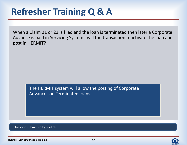When a Claim 21 or 23 is filed and the loan is terminated then later a Corporate Advance is paid in Servicing System , will the transaction reactivate the loan and post in HERMIT?

The HERMIT system will allow the posting of Corporate Advances on Terminated loans.

Question submitted by: Celink

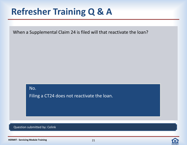When a Supplemental Claim 24 is filed will that reactivate the loan?

No.

Filing a CT24 does not reactivate the loan.

Question submitted by: Celink



**HERMIT - Servicing Module Training**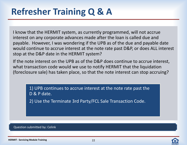I know that the HERMIT system, as currently programmed, will not accrue interest on any corporate advances made after the loan is called due and payable. However, I was wondering if the UPB as of the due and payable date would continue to accrue interest at the note rate past D&P, or does ALL interest stop at the D&P date in the HERMIT system?

If the note interest on the UPB as of the D&P does continue to accrue interest, what transaction code would we use to notify HERMIT that the liquidation (foreclosure sale) has taken place, so that the note interest can stop accruing?

> 1) UPB continues to accrue interest at the note rate past the D & P date.

2) Use the Terminate 3rd Party/FCL Sale Transaction Code.

#### Question submitted by: Celink

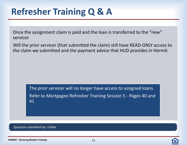Once the assignment claim is paid and the loan is transferred to the "new" servicer.

Will the prior servicer (that submitted the claim) still have READ-ONLY access to the claim we submitted and the payment advice that HUD provides in Hermit.

> The prior servicer will no longer have access to assigned loans. Refer to Mortgagee Refresher Training Session 5 - Pages 40 and 41

Question submitted by: Celink

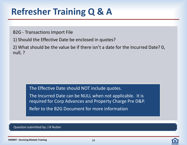B2G - Transactions Import File

1) Should the Effective Date be enclosed in quotes?

2) What should be the value be if there isn't a date for the Incurred Date? 0, null, ?

The Effective Date should NOT include quotes.

The Incurred Date can be NULL when not applicable. It is required for Corp Advances and Property Charge Pre D&P. Refer to the B2G Document for more information

Question submitted by: J B Nutter

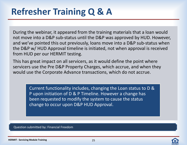During the webinar, it appeared from the training materials that a loan would not move into a D&P sub-status until the D&P was approved by HUD. However, and we've pointed this out previously, loans move into a D&P sub-status when the D&P w/ HUD Approval timeline is initiated, not when approval is received from HUD per our HERMIT testing.

This has great impact on all servicers, as it would define the point where servicers use the Pre D&P Property Charges, which accrue, and when they would use the Corporate Advance transactions, which do not accrue.

> Current functionality includes, changing the Loan status to D & P upon initiation of D & P Timeline. However a change has been requested to modify the system to cause the status change to occur upon D&P HUD Approval.

Question submitted by: Financial Freedom

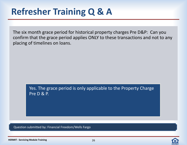The six month grace period for historical property charges Pre D&P: Can you confirm that the grace period applies ONLY to these transactions and not to any placing of timelines on loans.

Yes. The grace period is only applicable to the Property Charge Pre D & P.

Question submitted by: Financial Freedom/Wells Fargo

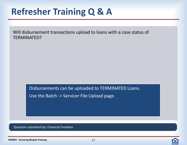Will disbursement transactions upload to loans with a case status of TERMINATED?

Disbursements can be uploaded to TERMINATED Loans.

Use the Batch -> Servicer File Upload page.

Question submitted by: Financial Freedom



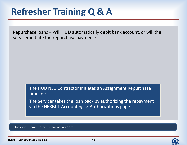Repurchase loans – Will HUD automatically debit bank account, or will the servicer initiate the repurchase payment?

> The HUD NSC Contractor initiates an Assignment Repurchase timeline.

The Servicer takes the loan back by authorizing the repayment via the HERMIT Accounting -> Authorizations page.

Question submitted by: Financial Freedom

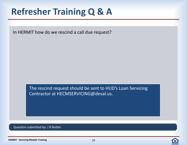In HERMIT how do we rescind a call due request?

The rescind request should be sent to HUD's Loan Servicing Contractor at HECMSERVICING@deval.us.

Question submitted by: J B Nutter

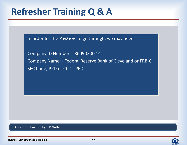In order for the Pay.Gov to go through, we may need

Company ID Number: - 86090300 14 Company Name: - Federal Reserve Bank of Cleveland or FRB-C SEC Code; PPD or CCD - PPD

#### Question submitted by: J B Nutter